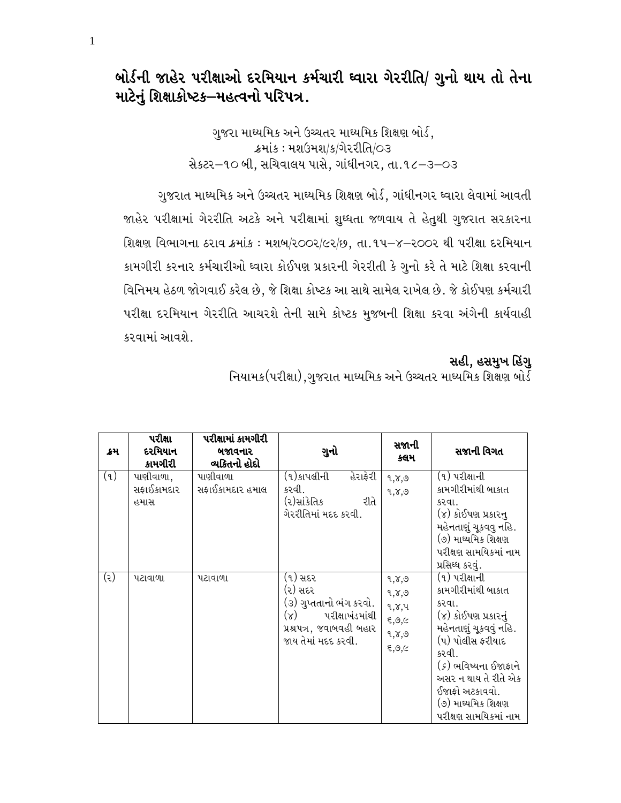# બોર્ડની જાહેર પરીક્ષાઓ દરમિયાન કર્મચારી ઘ્વારા ગેરરીતિ/ ગુનો થાય તો તેના માટેનું શિક્ષાકોષ્ટક–મહત્વનો પરિપત્ર.

ગુજરા માઘ્યમિક અને ઉચ્ચતર માઘ્યમિક શિક્ષણ બોર્ડ, ક્રમાંક: મશઉમશ/ક/ગેરરીતિ/૦૩ સેકટર-૧૦ બી, સચિવાલય પાસે, ગાંધીનગર, તા.૧૮–૩–૦૩

ગુજરાત માઘ્યમિક અને ઉચ્ચતર માઘ્યમિક શિક્ષણ બોર્ડ, ગાંધીનગર ઘ્વારા લેવામાં આવતી જાહેર પરીક્ષામાં ગેરરીતિ અટકે અને પરીક્ષામાં શુઘ્ધતા જળવાય તે હેતુથી ગુજરાત સરકારના શિક્ષણ વિભાગના ઠરાવ ક્રમાંક: મશબ/૨૦૦૨/૯૨/છ, તા.૧૫-૪-૨૦૦૨ થી પરીક્ષા દરમિયાન કામગીરી કરનાર કર્મચારીઓ ઘ્વારા કોઈપણ પ્રકારની ગેરરીતી કે ગુનો કરે તે માટે શિક્ષા કરવાની વિનિમય હેઠળ જોગવાઈ કરેલ છે, જે શિક્ષા કોષ્ટક આ સાથે સામેલ રાખેલ છે. જે કોઈપણ કર્મચારી પરીક્ષા દરમિયાન ગેરરીતિ આચરશે તેની સામે કોષ્ટક મુજબની શિક્ષા કરવા અંગેની કાર્યવાહી કરવામાં આવશે.

#### સહી, હસમુખ હિંગુ

| ક્રમ | પરીક્ષા<br>દરમિયાન<br>કામગીરી   | પરીક્ષામાં કામગીરી<br>બજાવનાર<br>વ્યકિતનો હોદો | ગુનો                                                                                                                               | સજાની<br>કલમ                                       | સજાની વિગત                                                                                                                                                                                                                                             |
|------|---------------------------------|------------------------------------------------|------------------------------------------------------------------------------------------------------------------------------------|----------------------------------------------------|--------------------------------------------------------------------------------------------------------------------------------------------------------------------------------------------------------------------------------------------------------|
| (9)  | પાણીવાળા,<br>સફાઈકામદાર<br>હમાસ | પાણીવાળા<br>સફાઈકામદાર હમાલ                    | હેરાફેરી<br>(૧)કાપલીની<br>કરવી.<br>(૨)સાંકેતિક<br>રીતે<br>ગેરરીતિમાં મદદ કરવી.                                                     | 9,8,9<br>9,7,9                                     | (૧) પરીક્ષાની<br>કામગીરીમાંથી બાકાત<br>કરવા.<br>(૪) કોઈપણ પ્રકારનુ<br>મહેનતાણું ચૂકવવુ નહિ.<br>(૭) માઘ્યમિક શિક્ષણ<br>પરીક્ષણ સામયિકમાં નામ<br>પ્રસિઘ્ધ કરવું.                                                                                         |
| (૨)  | પટાવાળા                         | પટાવાળા                                        | (૧) સદર<br>(૨) સદર<br>(૩) ગુપ્તતાનો ભંગ કરવો.<br>$(\lambda)$<br>પરીક્ષાખંડમાંથી<br>પ્રશ્રપત્ર, જવાબવહી બહાર<br>જાય તેમાં મદદ કરવી. | 9,7,9<br>9,8,9<br>9,7,4<br>5,9,6<br>৭,১,৩<br>5,9,6 | (૧) પરીક્ષાની<br>કામગીરીમાંથી બાકાત<br>કરવા.<br>(૪) કોઈપણ પ્રકારનું<br>મહેનતાણું ચૂકવવું નહિ.<br>(૫) પોલીસ ફરીયાદ<br>કરવી.<br>( <i>૬</i> ) ભવિષ્યના ઈજાફાને<br>અસર ન થાય તે રીતે એક<br>ઈજાફો અટકાવવો.<br>(૭) માઘ્યમિક શિક્ષણ<br>પરીક્ષણ સામયિકમાં નામ. |

નિયામક (પરીક્ષા),ગુજરાત માઘ્યમિક અને ઉચ્ચતર માઘ્યમિક શિક્ષણ બોર્ડ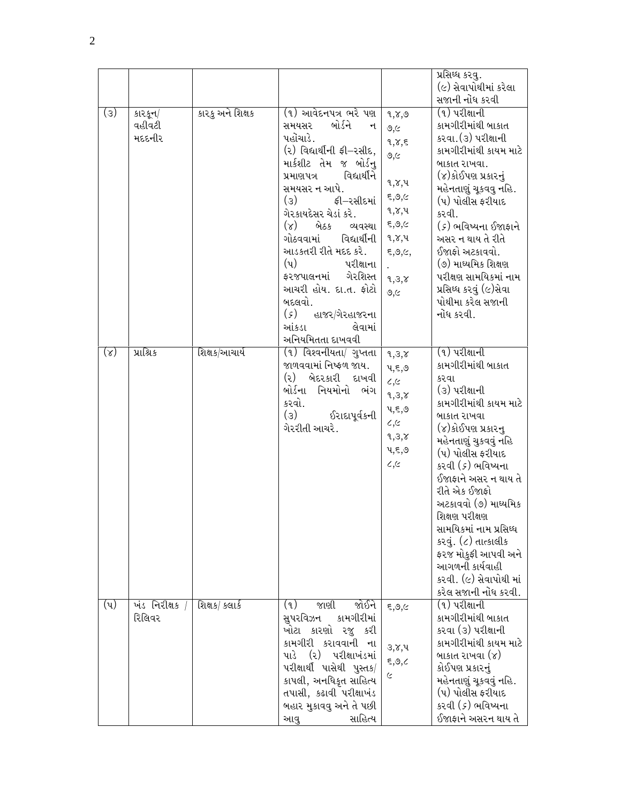|                  |                             |                  |                                                                                                                                                                                                                                                                                                                                                                                                                                                                                           |                                                                                                                                                                         | પ્રસિધ્ધ કરવુ.<br>(૯) સેવાપોથીમાં કરેલા<br>સજાની નોંધ કરવી                                                                                                                                                                                                                                                                                                                                                                              |
|------------------|-----------------------------|------------------|-------------------------------------------------------------------------------------------------------------------------------------------------------------------------------------------------------------------------------------------------------------------------------------------------------------------------------------------------------------------------------------------------------------------------------------------------------------------------------------------|-------------------------------------------------------------------------------------------------------------------------------------------------------------------------|-----------------------------------------------------------------------------------------------------------------------------------------------------------------------------------------------------------------------------------------------------------------------------------------------------------------------------------------------------------------------------------------------------------------------------------------|
| (3)              | કારકૂન/<br>વહીવટી<br>મદદનીર | કારકુ અને શિક્ષક | (૧) આવેદનપત્ર ભરે પણ<br>બોર્ડને<br>સમયસર<br>ન<br>પહોંચાડે.<br>(૨) વિદ્યાર્થીની ફી–રસીદ,<br>માર્કશીટ તેમ જ બોર્ડનુ<br>વિદ્યાર્થીને<br>પ્રમાણપત્ર<br>સમયસર ન આપે.<br>$\left( 3\right)$<br>ફી–રસીદમાં<br>ગેરકાયદેસર ચેડાં કરે.<br>$(\lambda)$<br>બેઠક<br>વ્યવસ્થા<br>ગોઠવવામાં<br>વિદ્યાર્થીની<br>આડકતરી રીતે મદદ કરે.<br>$(\mathrm{u})$<br>પરીક્ષાના<br>ગેરશિસ્ત<br>ફરજપાલનમાં<br>આચરી હોય. દા.ત. ફોટો<br>બદલવો.<br>$(\varsigma)$<br>હાજર/ગેરહાજરના<br>આંકડા<br>લેવામાં<br>અનિયમિતતા દાખવવી | 9,7,9<br>9,6<br>9,7,5<br>9,6<br>१,४,५<br>$_{\xi,\mathfrak{S},\subset}$<br>१,४,५<br>$_{\xi,\mathfrak{S},\subset}$<br>૧,૪,૫<br>$\xi, \mathcal{O}, \zeta,$<br>9,3,8<br>9,6 | (૧) પરીક્ષાની<br>કામગીરીમાંથી બાકાત<br>કરવા.(૩) પરીક્ષાની<br>કામગીરીમાંથી કાયમ માટે<br>બાકાત રાખવા.<br>(૪)કોઈપણ પ્રકારનું<br>મહેનતાણું ચૂકવવુ નહિ.<br>(૫) પોલીસ ફરીયાદ<br>કરવી.<br>(૬) ભવિષ્યના ઈજાફાને<br>અસર ન થાય તે રીતે<br>ઈજાફો અટકાવવો.<br>(૭) માઘ્યમિક શિક્ષણ<br>પરીક્ષણ સામયિકમાં નામ<br>પ્રસિઘ્ધ કરવું (૯)સેવા<br>પોથીમા કરેલ સજાની<br>નોંધ કરવી.                                                                             |
| $(\lambda)$      | પ્રાશ્રિક                   | શિક્ષક/આચાર્ય    | (૧) વિશ્વનીયતા/ ગુપ્તતા<br>જાળવવામાં નિષ્ફળ જાય.<br>(૨) બેદરકારી દાખવી<br>બોર્ડના નિયમોનો ભંગ<br>કરવો.<br>$\left( 3\right)$<br>ઈરાદાપૂર્વકની<br>ગેરરીતી આચરે.                                                                                                                                                                                                                                                                                                                             | 9,3,8<br>५,६,७<br>$\epsilon, \epsilon$<br>9,3,8<br>५,६,७<br>$\epsilon, \epsilon$<br>9,3,8<br>५,६,७<br>c,c                                                               | (૧) પરીક્ષાની<br>કામગીરીમાંથી બાકાત<br>કરવા<br>(૩) પરીક્ષાની<br>કામગીરીમાંથી કાયમ માટે<br>બાકાત રાખવા<br>(૪)કોઈપણ પ્રકારનુ<br>મહેનતાણું ચુકવવું નહિ<br>(૫) પોલીસ ફરીયાદ<br>કરવી ( <i>૬</i> ) ભવિષ્યના<br>ઈજાફાને અસર ન થાય તે<br>રીતે એક ઈજાફો<br>અટકાવવો (૭) માઘ્યમિક<br>શિક્ષણ પરીક્ષણ<br>સામયિકમાં નામ પ્રસિધ્ધ<br>કરવું. (૮) તાત્કાલીક<br>ફરજ મોકુફી આપવી અને<br>આગળની કાર્યવાહી<br>કરવી. (૯) સેવાપોથી માં<br>કરેલ સજાની નોંધ કરવી. |
| $(\mathfrak{q})$ | ખંડ નિરીક્ષક<br>રિલિવર      | શિક્ષક/ કલાર્ક   | જાણી<br>જોઈને<br>(9)<br>સુપરવિઝન<br>કામગીરીમાં<br>ખોટા કારણો રજુ કરી<br>કામગીરી કરાવવાની ના<br>પરીક્ષાખંડમાં<br>પાડે<br>$\left( \mathcal{S}\right)$<br>પરીક્ષાર્થી પાસેથી પુસ્તક/<br>કાપલી, અનધિકૃત સાહિત્ય<br>તપાસી, કઢાવી પરીક્ષાખંડ<br>બહાર મુકાવવુ અને તે પછી<br>સાહિત્ય<br>આવુ                                                                                                                                                                                                       | 5,9,6<br>३,४,५<br>$\xi, \mathcal{O}, \mathcal{C}$<br>$\epsilon$                                                                                                         | (૧) પરીક્ષાની<br>કામગીરીમાંથી બાકાત<br>કરવા (૩) પરીક્ષાની<br>કામગીરીમાંથી કાયમ માટે<br>બાકાત રાખવા $(\gamma)$<br>કોઈપણ પ્રકારનું<br>મહેનતાણું ચૂકવવું નહિ.<br>(૫) પોલીસ ફરીયાદ<br>કરવી ( <i>૬</i> ) ભવિષ્યના<br>ઈજાફાને અસરન થાય તે                                                                                                                                                                                                     |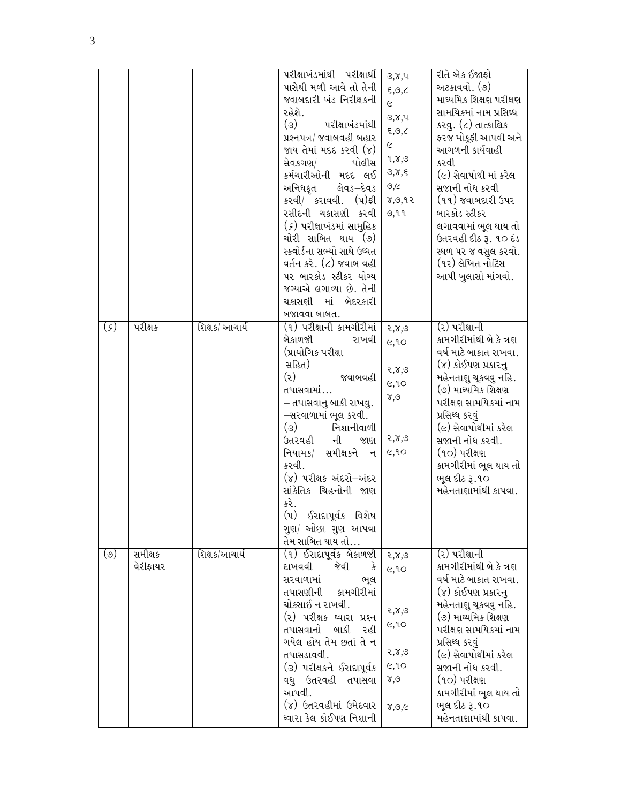|               |                     |                | પરીક્ષાખંડમાંથી પરીક્ષાર્થી<br>પાસેથી મળી આવે તો તેની<br>જવાબદારી ખંડ નિરીક્ષકની<br>રહેશે.<br>$\left( 3\right)$<br>પરીક્ષાખંડમાંથી<br>પ્રશ્નપત્ર/ જવાબવહી બહાર<br>જાય તેમાં મદદ કરવી (૪)<br>સેવકગણ/<br>પોલીસ<br>કર્મચારીઓની મદદ લઈ<br>લેવડ−દેવડ<br>અનિધકૃત<br>કરવી/ કરાવવી. (પ)ફી<br>રસીદની ચકાસણી કરવી<br>( <i>૬</i> ) પરીક્ષાખંડમાં સામુહિક<br>ચોરી સાબિત થાય (૭)<br>સ્કવોર્ડના સભ્યો સાથે ઉઘ્ધત<br>વર્તન કરે. (૮) જવાબ વહી<br>પર બારકોડ સ્ટીકર યોગ્ય<br>જગ્યાએ લગાવ્યા છે. તેની<br>ચકાસણી<br>માં<br>બેદરકારી<br>બજાવવા બાબત. | ३,४,५<br>5,9,2<br>$\varsigma$<br>३,४,५<br>5,9,2<br>$\stackrel{\sim}{\sim}$<br>৭,૪,৩<br>३,४,६<br>9,6<br>8,9,92<br>७,११ | રીતે એક ઈજાફો<br>અટકાવવો. (૭)<br>માઘ્યમિક શિક્ષણ પરીક્ષણ<br>સામયિકમાં નામ પ્રસિઘ્ધ<br>કરવુ. (૮) તાત્કાલિક<br>ફરજ મોકૂફી આપવી અને<br>આગળની કાર્યવાહી<br>કરવી<br>(૯) સેવાપોથી માં કરેલ<br>સજાની નોંધ કરવી<br>(૧૧) જવાબદારી ઉપર<br>બારકોડ સ્ટીકર<br>લગાવવામાં ભૂલ થાય તો<br>ઉતરવહી દીઠ રૂ. ૧૦ દંડ<br>સ્થળ પર જ વસુલ કરવો.<br>(૧૨) લેખિત નોટિસ<br>આપી ખુલાસો માંગવો. |
|---------------|---------------------|----------------|---------------------------------------------------------------------------------------------------------------------------------------------------------------------------------------------------------------------------------------------------------------------------------------------------------------------------------------------------------------------------------------------------------------------------------------------------------------------------------------------------------------------------------|-----------------------------------------------------------------------------------------------------------------------|------------------------------------------------------------------------------------------------------------------------------------------------------------------------------------------------------------------------------------------------------------------------------------------------------------------------------------------------------------------|
| $(\varsigma)$ | પરીક્ષક             | શિક્ષક/ આચાર્ય | (૧) પરીક્ષાની કામગીરીમાં<br>બેકાળજી<br>રાખવી<br>(પ્રાયોગિક પરીક્ષા<br>સહિત)<br>(5)<br>જવાબવહી<br>તપાસવામાં…<br>– તપાસવાનુ બાકી રાખવુ.<br>–સરવાળામાં ભૂલ કરવી.<br>$\left( 3\right)$<br>નિશાનીવાળી<br>ઉતરવહી<br>ની<br>જાણ<br>સમીક્ષકને ન<br>નિયામક/<br>કરવી.<br>(૪) પરીક્ષક અંદરો–અંદર<br>સાંકેતિક ચિહનોની જાણ<br>કરે.<br>(પ)<br>ઈરાદાપૂર્વક વિશેષ<br>ગુણ/ ઓછા ગુણ આપવા<br>તેમ સાબિત થાય તો…                                                                                                                                      | २,४,७<br>c, 90<br>२,४,७<br>6,90<br>$\delta, \delta$<br>२,४,७<br>6,90                                                  | (૨) પરીક્ષાની<br>કામગીરીમાંથી બે કે ત્રણ<br>વર્ષ માટે બાકાત રાખવા.<br>(૪) કોઈપણ પ્રકારનુ<br>મહેનતાણુ ચૂકવવુ નહિ.<br>(૭) માઘ્યમિક શિક્ષણ<br>પરીક્ષણ સામયિકમાં નામ<br>પ્રસિઘ્ધ કરવું<br>(૯) સેવાપોથીમાં કરેલ<br>સજાની નોંધ કરવી.<br>(૧૦) પરીક્ષણ<br>કામગીરીમાં ભૂલ થાય તો<br>ભૂલ દીઠ રૂ.૧૦<br>મહેનતાણામાંથી કાપવા.                                                 |
| $(\circ)$     | સમીક્ષક<br>વેરીફાયર | શિક્ષક/આચાર્ય  | (૧) ઈરાદાપૂર્વક બેકાળજી<br>દાખવવી<br>જેવી<br>કે<br>સરવાળામાં<br>ભૂલ<br>તપાસણીની કામગીરીમાં<br>ચોકસાઈ ન રાખવી.<br>(૨) પરીક્ષક ઘ્વારા પ્રશ્ન<br>તપાસવાનો બાકી રહી<br>ગયેલ હોય તેમ છતાં તે ન<br>તપાસડાવવી.<br>(૩) પરીક્ષકને ઈરાદાપૂર્વક<br>વધુ ઉતરવહી તપાસવા<br>આપવી.<br>(૪) ઉતરવહીમાં ઉમેદવાર<br>ઘ્વારા કેલ કોઈપણ નિશાની                                                                                                                                                                                                          | २,४,७<br>c, 90<br>२,४,७<br>6,90<br>२,४,७<br>c, 90<br>४,७<br>8,9,6                                                     | (૨) પરીક્ષાની<br>કામગીરીમાંથી બે કે ત્રણ<br>વર્ષ માટે બાકાત રાખવા.<br>(૪) કોઈપણ પ્રકારનુ<br>મહેનતાણુ ચૂકવવુ નહિ.<br>(૭) માઘ્યમિક શિક્ષણ<br>પરીક્ષણ સામયિકમાં નામ<br>પ્રસિઘ્ધ કરવું<br>(૯) સેવાપોથીમાં કરેલ<br>સજાની નોંધ કરવી.<br>(૧૦) પરીક્ષણ<br>કામગીરીમાં ભૂલ થાય તો<br>ભૂલ દીઠ રૂ.૧૦<br>મહેનતાણામાંથી કાપવા.                                                 |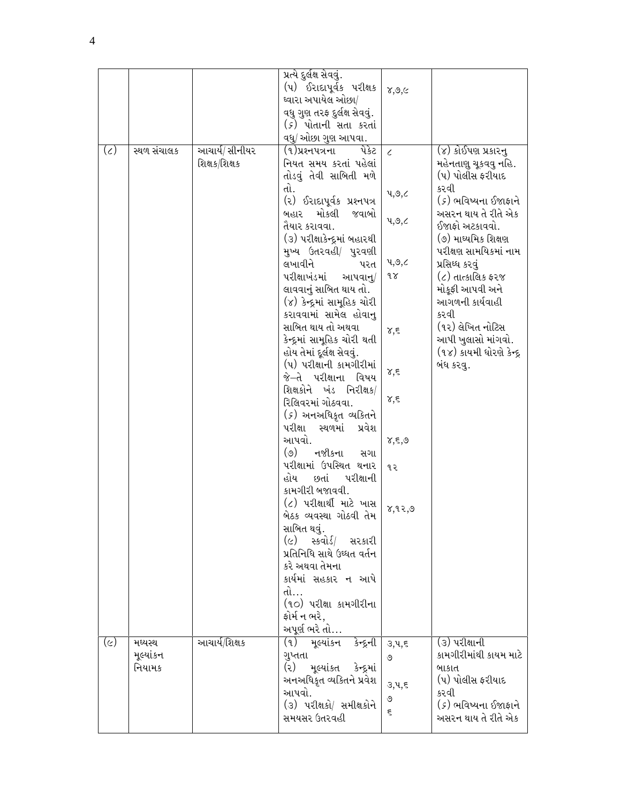|              |                                |                                 | પ્રત્યે દુર્લક્ષ સેવવું.<br>(૫) ઈરાદાપૂર્વક પરીક્ષક<br>ઘ્વારા અપાયેલ ઓછા/<br>વધુ ગુણ તરફ દુર્લક્ષ સેવવું.<br>( <i>૬</i> ) પોતાની સતા કરતાં<br>વધુ/ ઓછા ગુણ આપવા.                                                                                                                                                                                                                                                                                                                                                                                                                                                                                                                                                                                                                                                                                                                                                                                                       | $\chi, \mathcal{O}, \subset$                                                                                              |                                                                                                                                                                                                                                                                                                                                                                                       |  |
|--------------|--------------------------------|---------------------------------|------------------------------------------------------------------------------------------------------------------------------------------------------------------------------------------------------------------------------------------------------------------------------------------------------------------------------------------------------------------------------------------------------------------------------------------------------------------------------------------------------------------------------------------------------------------------------------------------------------------------------------------------------------------------------------------------------------------------------------------------------------------------------------------------------------------------------------------------------------------------------------------------------------------------------------------------------------------------|---------------------------------------------------------------------------------------------------------------------------|---------------------------------------------------------------------------------------------------------------------------------------------------------------------------------------------------------------------------------------------------------------------------------------------------------------------------------------------------------------------------------------|--|
| $(\zeta)$    | સ્થળ સંચાલક                    | આચાર્ય/ સીનીયર<br>શિક્ષક/શિક્ષક | (૧)પ્રશ્નપત્રના<br>પેકેટ<br>નિયત સમય કરતાં પહેલાં<br>તોડવું તેવી સાબિતી મળે<br>તો.<br>(૨) ઈરાદાપૂર્વક પ્રશ્નપત્ર<br>મોકલી<br>જવાબો<br>બહાર<br>તૈયાર કરાવવા.<br>(૩) પરીક્ષાકેન્દ્રમાં બહારથી<br>મુખ્ય ઉતરવહી/ પુરવણી<br>લખાવીને<br>પરત<br>પરીક્ષાખંડમાં<br>આપવાનુ/<br>લાવવાનું સાબિત થાય તો.<br>(૪) કેન્દ્રમાં સામૂહિક ચોરી<br>કરાવવામાં સામેલ હોવાનુ<br>સાબિત થાય તો અથવા<br>કેન્દ્રમાં સામૂહિક ચોરી થતી<br>હોય તેમાં દૂર્લક્ષ સેવવું.<br>(૫) પરીક્ષાની કામગીરીમાં<br>જે–તે પરીક્ષાના વિષય<br>શિક્ષકોને ખંડ નિરીક્ષક/<br>રિલિવરમાં ગોઠવવા.<br>( <i>૬</i> ) અનઅધિકૃત વ્યકિતને<br>પરીક્ષા<br>સ્થળમાં<br>પ્રવેશ<br>આપવો.<br>$(\circ)$<br>નજીકના<br>સગા<br>પરીક્ષામાં ઉપસ્થિત થનાર<br>હોય<br>છતાં<br>પરીક્ષાની<br>કામગીરી બજાવવી.<br>(૮) પરીક્ષાર્થી માટે ખાસ<br>બેઠક વ્યવસ્થા ગોઠવી તેમ<br>સાબિત થવું.<br>(૯) સ્કવોર્ડ/ સરકારી<br>પ્રતિનિધિ સાથે ઉઘ્ધત વર્તન<br>કરે અથવા તેમના<br>કાર્યમાં સહકાર ન આપે<br>તો…<br>(૧૦) પરીક્ષા કામગીરીના<br>ફોર્મ ન ભરે,<br>અપૂર્ણ ભરે તો… | $\epsilon$<br>4,9,2<br>4,9,2<br>પ,૭,૮<br>9 S<br>४,६<br>γ,ξ<br>$\delta, \xi$<br>$\delta, \xi, \mathcal{O}$<br>૧૨<br>8,92,9 | $\overline{(\mathsf{v})}$ કોઈપણ પ્રકારનુ<br>મહેનતાણુ ચૂકવવુ નહિ.<br>(૫) પોલીસ ફરીયાદ<br>કરવી<br>(૬) ભવિષ્યના ઈજાફાને<br>અસરન થાય તે રીતે એક<br>ઈજાફો અટકાવવો.<br>(૭) માઘ્યમિક શિક્ષણ<br>પરીક્ષણ સામયિકમાં નામ<br>પ્રસિઘ્ધ કરવું<br>(૮) તાત્કાલિક ફરજ<br>મોકૂફી આપવી અને<br>આગળની કાર્યવાહી<br>કરવી<br>(૧૨) લેખિત નોટિસ<br>આપી ખુલાસો માંગવો.<br>(૧૪) કાયમી ધોરણે કેન્દ્ર<br>બંધ કરવુ. |  |
| $(\epsilon)$ | મધ્યસ્થ<br>મૂલ્યાંકન<br>નિયામક | આચાર્ય/શિક્ષક                   | (૧) મૂલ્યાંકન કેન્દ્રની<br>ગુપ્તતા<br>$\left( z\right)$<br>મૂલ્યાંકત કેન્દ્રમાં<br>અનઅધિકૃત વ્યકિતને પ્રવેશ<br>આપવો.<br>(૩) પરીક્ષકો/ સમીક્ષકોને<br>સમયસર ઉતરવહી                                                                                                                                                                                                                                                                                                                                                                                                                                                                                                                                                                                                                                                                                                                                                                                                       | 3, 4, 5<br>৩<br>३,५,६<br>৩<br>ξ                                                                                           | (૩) પરીક્ષાની<br>કામગીરીમાંથી કાયમ માટે<br>બાકાત<br>(૫) પોલીસ ફરીયાદ<br>કરવી<br>(૬) ભવિષ્યના ઈજાફાને<br>અસરન થાય તે રીતે એક                                                                                                                                                                                                                                                           |  |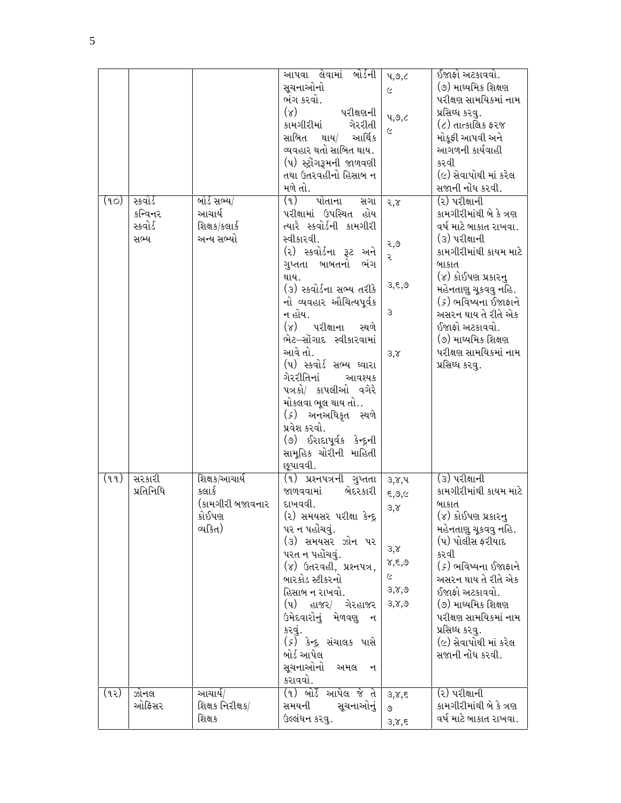|      |                                 |                                        | આપવા લેવામાં<br>બોર્ડની<br>સૂચનાઓનો<br>ભંગ કરવો.                                                                                                                                                                           | 4,9,2<br>Ć                     | ઈજાફો અટકાવવો.<br>(૭) માઘ્યમિક શિક્ષણ<br>પરીક્ષણ સામયિકમાં નામ                                                                 |
|------|---------------------------------|----------------------------------------|----------------------------------------------------------------------------------------------------------------------------------------------------------------------------------------------------------------------------|--------------------------------|--------------------------------------------------------------------------------------------------------------------------------|
|      |                                 |                                        | $(\lambda)$<br>પરીક્ષણની<br>કામગીરીમાં<br>ગેરરીતી<br>સાબિત<br>આર્થિક<br>થાય/<br>વ્યવહાર થતો સાબિત થાય.<br>(૫) સ્ટ્રોગરૂમની જાળવણી<br>તથા ઉતરવહીનો હિસાબ ન<br>મળે તો.                                                       | 4,9,2<br>Ć                     | પ્રસિઘ્ધ કરવુ.<br>(૮) તાત્કાલિક ફરજ<br>મોકુફી આપવી અને<br>આગળની કાર્યવાહી<br>કરવી<br>(૯) સેવાપોથી માં કરેલ<br>સજાની નોંધ કરવી. |
| (90) | સ્કવોર્ડ<br>કન્વિનર<br>સ્કવોર્ડ | બોર્ડ સભ્ય/<br>આચાર્ય<br>શિક્ષક/કલાર્ક | (9)<br>પોતાના<br>સગા<br>પરીક્ષામાં ઉપસ્થિત હોય<br>ત્યારે સ્કવોર્ડની કામગીરી                                                                                                                                                | 2,8                            | (૨) પરીક્ષાની<br>કામગીરીમાંથી બે કે ત્રણ<br>વર્ષ માટે બાકાત રાખવા.                                                             |
|      | સભ્ય                            | અન્ય સભ્યો                             | સ્વીકારવી.<br>(૨) સ્કવોર્ડના રૂટ અને<br>ગુપ્તતા<br>બાબતનો<br>ભંગ                                                                                                                                                           | २,७<br>ર                       | (૩) પરીક્ષાની<br>કામગીરીમાંથી કાયમ માટે<br>બાકાત                                                                               |
|      |                                 |                                        | થાય.<br>(૩) સ્કવોર્ડના સભ્ય તરીકે<br>નો વ્યવહાર ઔચિત્યપૂર્વક                                                                                                                                                               | 3,5,9                          | (૪) કોઈપણ પ્રકારનુ<br>મહેનતાણુ ચૂકવવુ નહિ.<br>(૬) ભવિષ્યના ઈજાફાને                                                             |
|      |                                 |                                        | ન હોય.<br>પરીક્ષાના<br>$(\lambda)$<br>સ્થળે<br>ભેટ–સોંગાદ સ્વીકારવામાં                                                                                                                                                     | З                              | અસરન થાય તે રીતે એક<br>ઈજાફો અટકાવવો.<br>(૭) માઘ્યમિક શિક્ષણ                                                                   |
|      |                                 |                                        | આવે તો.<br>(૫) સ્કવોર્ડ સભ્ય ઘ્વારા<br>ગેરરીતિનાં<br>આવશ્યક<br>પત્રકો/ કાપલીઓ વગેરે<br>મોકલવા ભૂલ થાય તો…<br>( <i>૬</i> ) અનઅધિકૃત સ્થળે<br>પ્રવેશ કરવો.<br>(૭) ઈરાદાપૂર્વક કેન્દ્રની<br>સામૂહિક ચોરીની માહિતી<br>છૂપાવવી. | 3,8                            | પરીક્ષણ સામયિકમાં નામ<br>પ્રસિઘ્ધ કરવુ.                                                                                        |
| (qq) | સરકારી<br>પ્રતિનિધિ             | શિક્ષક/આચાર્ય<br>કલાર્ક                | (૧) પ્રશ્નપત્રની ગુપ્તતા<br>બેદરકારી<br>જાળવવામાં                                                                                                                                                                          | ३,४,५<br>5,9,6                 | (૩) પરીક્ષાની<br>કામગીરીમાંથી કાયમ માટે                                                                                        |
|      |                                 | (કામગીરી બજાવનાર<br>કોઈપણ              | દાખવવી.<br>(૨) સમયસર પરીક્ષા કેન્દ્ર                                                                                                                                                                                       | 3,8                            | બાકાત<br>(૪) કોઈપણ પ્રકારનુ                                                                                                    |
|      |                                 | વ્યકિત)                                | પર ન પહોંચવું.<br>(૩) સમયસર ઝોન પર<br>પરત ન પહોંચવું.<br>(૪) ઉતરવહી, પ્રશ્નપત્ર,                                                                                                                                           | ३,४<br>$\delta, \xi, \delta$   | મહેનતાણુ ચૂકવવુ નહિ.<br>(૫) પોલીસ ફરીયાદ<br>કરવી<br>( <i>૬</i> ) ભવિષ્યના ઈજાફાને                                              |
|      |                                 |                                        | બારકોડ સ્ટીકરનો<br>હિસાબ ન રાખવો.                                                                                                                                                                                          | $\tilde{\mathcal{C}}$<br>३,४,७ | અસરન થાય તે રીતે એક<br>ઈજાફો અટકાવવો.                                                                                          |
|      |                                 |                                        | (૫) હાજર/ ગેરહાજર<br>ઉમેદવારોનું મેળવણુ ન<br>કરવું.                                                                                                                                                                        | 3,8,9                          | (૭) માઘ્યમિક શિક્ષણ<br>પરીક્ષણ સામયિકમાં નામ<br>પ્રસિઘ્ધ કરવુ.                                                                 |
|      |                                 |                                        | ( <i>૬</i> ) કેન્દ્ર સંચાલક પાસે<br>બોર્ડ આપેલ                                                                                                                                                                             |                                | (૯) સેવાપોથી માં કરેલ<br>સજાની નોંધ કરવી.                                                                                      |
|      |                                 |                                        | સૂચનાઓનો<br>અમલ<br>ન<br>કરાવવો.                                                                                                                                                                                            |                                |                                                                                                                                |
| (૧૨) | ઝોનલ<br>ઓફિસર                   | આચાર્ય/<br>શિક્ષક નિરીક્ષક/<br>શિક્ષક  | (૧) બોર્ડે આપેલ જે તે<br>સૂચનાઓનું<br>સમયની<br>ઉલ્લંધન કરવુ.                                                                                                                                                               | 3,8,5<br>৩<br>3,8,5            | (૨) પરીક્ષાની<br>કામગીરીમાંથી બે કે ત્રણ<br>વર્ષ માટે બાકાત રાખવા.                                                             |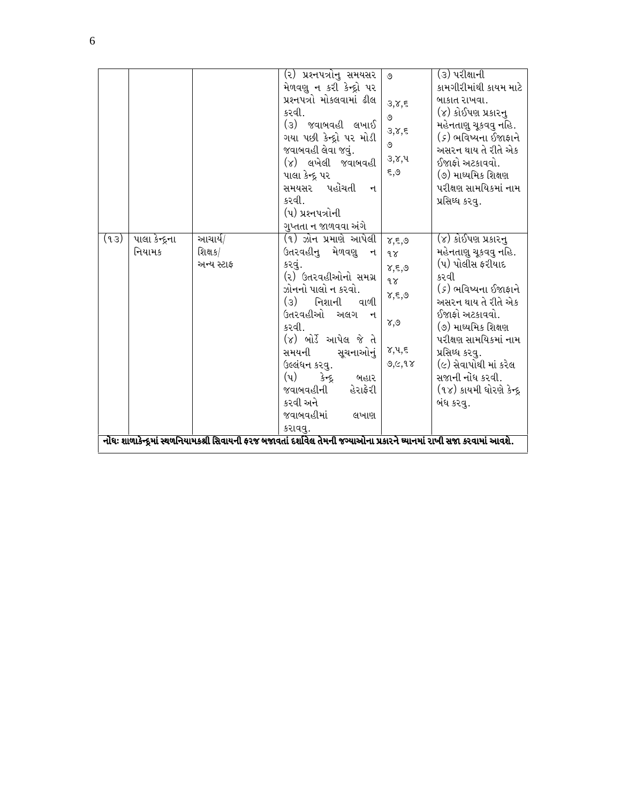|      |                          |                                  | (૨) પ્રશ્નપત્રોનુ સમયસર<br>મેળવણુ ન કરી કેન્દ્રો પર<br>પ્રશ્નપત્રો મોકલવામાં ઢીલ<br>કરવી.<br>(૩) જવાબવહી લખાઈ<br>ગયા પછી કેન્દ્રો પર મોડી<br>જવાબવહી લેવા જવું.<br>(૪) લખેલી જવાબવહી<br>પાલા કેન્દ્ર પર<br>પહોંચતી<br>સમયસર<br>$\mathbf{H}$<br>કરવી.<br>(૫) પ્રશ્નપત્રોની<br>ગુપ્તતા ન જાળવવા અંગે                            | ৩<br>3,8,5<br>৩<br>3,8,5<br>৩<br>३,४,५<br>९,९                                                             | (૩) પરીક્ષાની<br>કામગીરીમાંથી કાયમ માટે<br>બાકાત રાખવા.<br>(૪) કોઈપણ પ્રકારનુ<br>મહેનતાણુ ચૂકવવુ નહિ.<br>(૬) ભવિષ્યના ઈજાફાને<br>અસરન થાય તે રીતે એક<br>ઈજાફો અટકાવવો.<br>(૭) માઘ્યમિક શિક્ષણ<br>પરીક્ષણ સામયિકમાં નામ<br>પ્રસિઘ્ધ કરવ.                                                        |
|------|--------------------------|----------------------------------|-------------------------------------------------------------------------------------------------------------------------------------------------------------------------------------------------------------------------------------------------------------------------------------------------------------------------------|-----------------------------------------------------------------------------------------------------------|------------------------------------------------------------------------------------------------------------------------------------------------------------------------------------------------------------------------------------------------------------------------------------------------|
| (43) | પાલા કેન્દ્રના<br>નિયામક | આચાર્ય/<br>શિક્ષક/<br>અન્ય સ્ટાફ | (૧) ઝોન પ્રમાણે આપેલી<br>ઉતરવહીનુ મેળવણુ ન<br>કરવું.<br>(૨) ઉતરવહીઓનો સમગ્ર<br>ઝોનનો પાલો ન કરવો.<br>(૩) નિશાની વાળી<br>ઉતરવહીઓ અલગ ન<br>કરવી.<br>(૪) બોર્ડે આપેલ જે તે<br>સમયની<br>સુચનાઓનું<br>ઉલ્લંધન કરવુ.<br>$(\nu)$<br>} <del>न</del> ्दू<br>બહાર<br>હેરાફેરી<br>જવાબવહીની<br>કરવી અને<br>જવાબવહીમાં<br>લખાણ<br>કરાવવુ. | $\delta, \xi, \mathcal{O}$<br>9x<br>४,६,७<br>$9\gamma$<br>४,६,७<br>$\chi, \mathcal{O}$<br>૪,પ,૬<br>9,6,98 | (૪) કોઈપણ પ્રકારનુ<br>મહેનતાણુ ચૂકવવુ નહિ.<br>(૫) પોલીસ ફરીયાદ<br>કરવી<br>(૬) ભવિષ્યના ઈજાફાને<br>અસરન થાય તે રીતે એક<br>ઈજાફો અટકાવવો.<br>(૭) માઘ્યમિક શિક્ષણ<br>પરીક્ષણ સામયિકમાં નામ<br>પ્રસિધ્ધ કરવુ.<br>(૯) સેવાપોથી માં કરેલ<br>સજાની નોંધ કરવી.<br>(૧૪) કાયમી ધોરણે કેન્દ્ર<br>બંધ કરવ. |